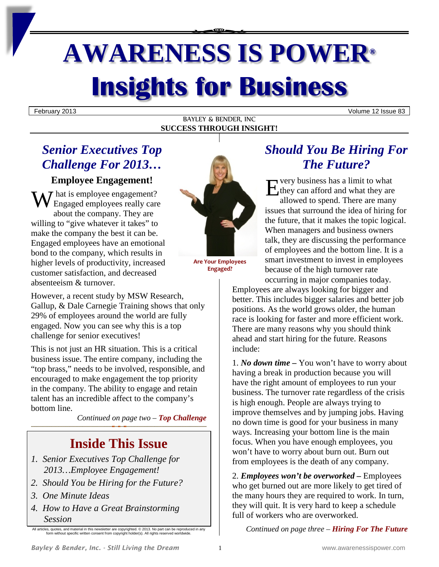# **AWARENESS IS POWER® Insights for Business**

February 2013 Volume 12 Issue 83

### BAYLEY & BENDER, INC **SUCCESS THROUGH INSIGHT!**

# *Senior Executives Top Challenge For 2013…*

### **Employee Engagement!**

hat is employee engagement? Engaged employees really care about the company. They are willing to "give whatever it takes" to make the company the best it can be. Engaged employees have an emotional bond to the company, which results in higher levels of productivity, increased customer satisfaction, and decreased absenteeism & turnover. Employee Engagement!<br>
We had is employee engagement?<br>
Engaged employees really care<br>
Simple the contract of the contract of the contract of the contract of the contract of the contract of the contract of the contract of th

However, a recent study by MSW Research, Gallup, & Dale Carnegie Training shows that only 29% of employees around the world are fully engaged. Now you can see why this is a top challenge for senior executives!

This is not just an HR situation. This is a critical business issue. The entire company, including the "top brass," needs to be involved, responsible, and encouraged to make engagement the top priority in the company. The ability to engage and retain talent has an incredible affect to the company's bottom line.

*Continued on page two – Top Challenge*

# **Inside This Issue**

- *1. Senior Executives Top Challenge for 2013…Employee Engagement!*
- *2. Should You be Hiring for the Future?*
- *3. One Minute Ideas*
- *4. How to Have a Great Brainstorming Session*

All articles, quotes, and material in this newsletter are copyrighted. © 2013. No part can be reproduced in any form without specific written consent from copyright holder(s). All rights reserved worldwide.



**Are Your Employees Engaged?**

## *Should You Be Hiring For The Future?*

very business has a limit to what  $\mathcal{A}_{\mathcal{A}}$  they can afford and what they are allowed to spend. There are many issues that surround the idea of hiring for the future, that it makes the topic logical. When managers and business owners talk, they are discussing the performance of employees and the bottom line. It is a smart investment to invest in employees because of the high turnover rate occurring in major companies today.

Employees are always looking for bigger and better. This includes bigger salaries and better job positions. As the world grows older, the human race is looking for faster and more efficient work. There are many reasons why you should think ahead and start hiring for the future. Reasons include:

1. *No down time –* You won't have to worry about having a break in production because you will have the right amount of employees to run your business. The turnover rate regardless of the crisis is high enough. People are always trying to improve themselves and by jumping jobs. Having no down time is good for your business in many ways. Increasing your bottom line is the main focus. When you have enough employees, you won't have to worry about burn out. Burn out from employees is the death of any company.

2. *Employees won't be overworked –* Employees who get burned out are more likely to get tired of the many hours they are required to work. In turn, they will quit. It is very hard to keep a schedule full of workers who are overworked.

*Continued on page three – Hiring For The Future*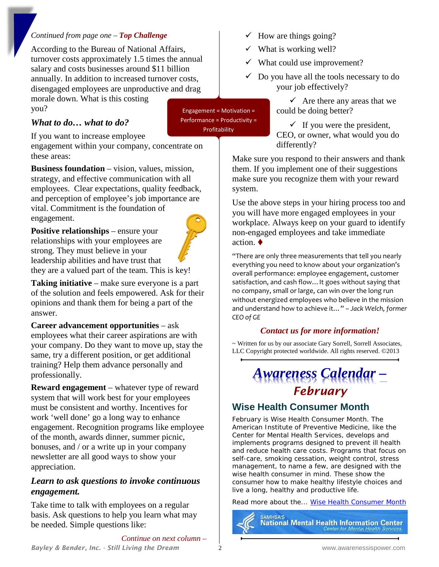### *Continued from page one – Top Challenge*

According to the Bureau of National Affairs, turnover costs approximately 1.5 times the annual salary and costs businesses around \$11 billion annually. In addition to increased turnover costs, disengaged employees are unproductive and drag

morale down. What is this costing you?

### *What to do… what to do?*

If you want to increase employee

engagement within your company, concentrate on these areas:

**Business foundation** – vision, values, mission, strategy, and effective communication with all employees. Clear expectations, quality feedback, and perception of employee's job importance are vital. Commitment is the foundation of engagement.

**Positive relationships** – ensure your relationships with your employees are strong. They must believe in your leadership abilities and have trust that



Engagement = Motivation = Performance = Productivity = Profitability

they are a valued part of the team. This is key!

**Taking initiative** – make sure everyone is a part of the solution and feels empowered. Ask for their opinions and thank them for being a part of the answer.

**Career advancement opportunities** – ask employees what their career aspirations are with your company. Do they want to move up, stay the same, try a different position, or get additional training? Help them advance personally and professionally.

**Reward engagement** – whatever type of reward system that will work best for your employees must be consistent and worthy. Incentives for work 'well done' go a long way to enhance engagement. Recognition programs like employee of the month, awards dinner, summer picnic, bonuses, and / or a write up in your company newsletter are all good ways to show your appreciation.

### *Learn to ask questions to invoke continuous engagement.*

Take time to talk with employees on a regular basis. Ask questions to help you learn what may be needed. Simple questions like:

- $\checkmark$  How are things going?
- $\checkmark$  What is working well?
- $\checkmark$  What could use improvement?
- $\checkmark$  Do you have all the tools necessary to do your job effectively?

 $\checkmark$  Are there any areas that we could be doing better?

 $\checkmark$  If you were the president, CEO, or owner, what would you do differently?

Make sure you respond to their answers and thank them. If you implement one of their suggestions make sure you recognize them with your reward system.

Use the above steps in your hiring process too and you will have more engaged employees in your workplace. Always keep on your guard to identify non-engaged employees and take immediate action.

"There are only three measurements that tell you nearly everything you need to know about your organization's overall performance: employee engagement, customer satisfaction, and cash flow…It goes without saying that no company, small or large, can win over the long run without energized employees who believe in the mission and understand how to achieve it…" – *Jack Welch, former CEO of GE*

### *Contact us for more information!*

~ Written for us by our associate Gary Sorrell, Sorrell Associates, LLC Copyright protected worldwide. All rights reserved. ©2013

# *Awareness Calendar – February*

### **Wise Health Consumer Month**

February is Wise Health Consumer Month. The American Institute of Preventive Medicine, like the Center for Mental Health Services, develops and implements programs designed to prevent ill health and reduce health care costs. Programs that focus on self-care, smoking cessation, weight control, stress management, to name a few, are designed with the wise health consumer in mind. These show the consumer how to make healthy lifestyle choices and live a long, healthy and productive life.

Read more about the... [Wise Health Consumer Month](http://mentalhealth.samhsa.gov/highlights/2002/february/wiseconsumer/)

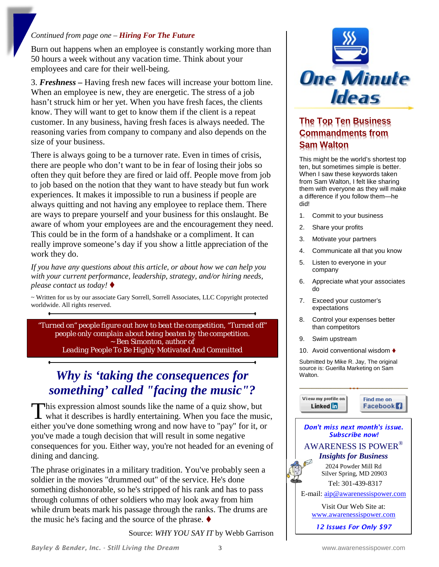### *Continued from page one – Hiring For The Future*

Burn out happens when an employee is constantly working more than 50 hours a week without any vacation time. Think about your employees and care for their well-being.

3. *Freshness –* Having fresh new faces will increase your bottom line. When an employee is new, they are energetic. The stress of a job hasn't struck him or her yet. When you have fresh faces, the clients know. They will want to get to know them if the client is a repeat customer. In any business, having fresh faces is always needed. The reasoning varies from company to company and also depends on the size of your business.

There is always going to be a turnover rate. Even in times of crisis, there are people who don't want to be in fear of losing their jobs so often they quit before they are fired or laid off. People move from job to job based on the notion that they want to have steady but fun work experiences. It makes it impossible to run a business if people are always quitting and not having any employee to replace them. There are ways to prepare yourself and your business for this onslaught. Be aware of whom your employees are and the encouragement they need. This could be in the form of a handshake or a compliment. It can really improve someone's day if you show a little appreciation of the work they do.

*If you have any questions about this article, or about how we can help you with your current performance, leadership, strategy, and/or hiring needs, please contact us today!*

~ Written for us by our associate Gary Sorrell, Sorrell Associates, LLC Copyright protected worldwide. All rights reserved.

*"Turned on" people figure out how to beat the competition, "Turned off" people only complain about being beaten by the competition. ~* Ben Simonton, author of *Leading People To Be Highly Motivated And Committed*

# *Why is 'taking the consequences for something' called "facing the music"?*

his expression almost sounds like the name of a quiz show, but This expression almost sounds like the name of a quiz show, but<br>what it describes is hardly entertaining. When you face the music, either you've done something wrong and now have to "pay" for it, or you've made a tough decision that will result in some negative consequences for you. Either way, you're not headed for an evening of dining and dancing.

The phrase originates in a military tradition. You've probably seen a soldier in the movies "drummed out" of the service. He's done something dishonorable, so he's stripped of his rank and has to pass through columns of other soldiers who may look away from him while drum beats mark his passage through the ranks. The drums are the music he's facing and the source of the phrase.  $\blacklozenge$ 

Source: *WHY YOU SAY IT* by Webb Garrison



### **The Top Ten Business Commandments from Sam Walton**

This might be the world's shortest top ten, but sometimes simple is better. When I saw these keywords taken from Sam Walton, I felt like sharing them with everyone as they will make a difference if you follow them—he did!

- 1. Commit to your business
- 2. Share your profits
- 3. Motivate your partners
- 4. Communicate all that you know
- 5. Listen to everyone in your company
- 6. Appreciate what your associates do
- 7. Exceed your customer's expectations
- 8. Control your expenses better than competitors
- 9. Swim upstream
- 10. Avoid conventional wisdom ♦

Submitted by Mike R. Jay, The original source is: Guerilla Marketing on Sam Walton.